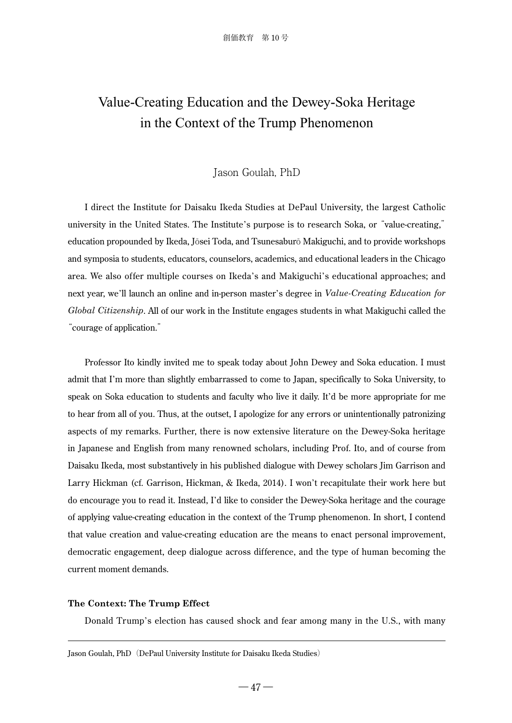# Value-Creating Education and the Dewey-Soka Heritage in the Context of the Trump Phenomenon

# Jason Goulah, PhD

I direct the Institute for Daisaku Ikeda Studies at DePaul University, the largest Catholic university in the United States. The Institute's purpose is to research Soka, or "value-creating," education propounded by Ikeda, Jōsei Toda, and Tsunesaburō Makiguchi, and to provide workshops and symposia to students, educators, counselors, academics, and educational leaders in the Chicago area. We also offer multiple courses on Ikeda's and Makiguchi's educational approaches; and next year, we'll launch an online and in-person master's degree in *Value-Creating Education for Global Citizenship*. All of our work in the Institute engages students in what Makiguchi called the "courage of application."

Professor Ito kindly invited me to speak today about John Dewey and Soka education. I must admit that I'm more than slightly embarrassed to come to Japan, specifically to Soka University, to speak on Soka education to students and faculty who live it daily. It'd be more appropriate for me to hear from all of you. Thus, at the outset, I apologize for any errors or unintentionally patronizing aspects of my remarks. Further, there is now extensive literature on the Dewey-Soka heritage in Japanese and English from many renowned scholars, including Prof. Ito, and of course from Daisaku Ikeda, most substantively in his published dialogue with Dewey scholars Jim Garrison and Larry Hickman (cf. Garrison, Hickman, & Ikeda, 2014). I won't recapitulate their work here but do encourage you to read it. Instead, I'd like to consider the Dewey-Soka heritage and the courage of applying value-creating education in the context of the Trump phenomenon. In short, I contend that value creation and value-creating education are the means to enact personal improvement, democratic engagement, deep dialogue across difference, and the type of human becoming the current moment demands.

### **The Context: The Trump Effect**

Donald Trump's election has caused shock and fear among many in the U.S., with many

Jason Goulah, PhD (DePaul University Institute for Daisaku Ikeda Studies)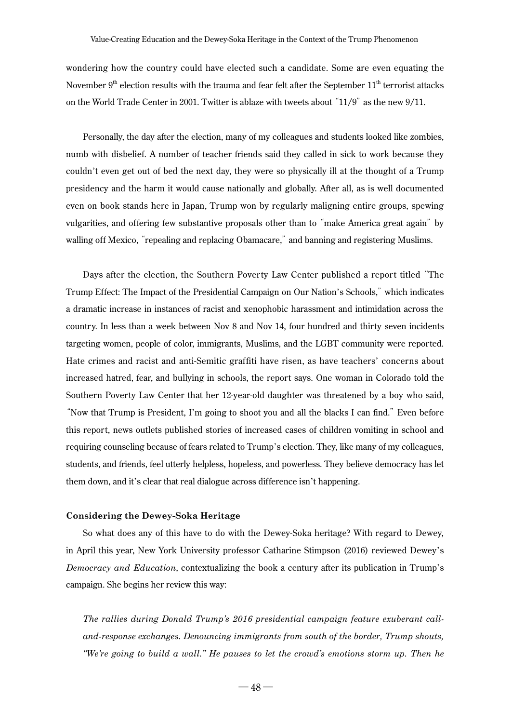wondering how the country could have elected such a candidate. Some are even equating the November  $9<sup>th</sup>$  election results with the trauma and fear felt after the September  $11<sup>th</sup>$  terrorist attacks on the World Trade Center in 2001. Twitter is ablaze with tweets about "11/9" as the new 9/11.

Personally, the day after the election, many of my colleagues and students looked like zombies, numb with disbelief. A number of teacher friends said they called in sick to work because they couldn't even get out of bed the next day, they were so physically ill at the thought of a Trump presidency and the harm it would cause nationally and globally. After all, as is well documented even on book stands here in Japan, Trump won by regularly maligning entire groups, spewing vulgarities, and offering few substantive proposals other than to "make America great again" by walling off Mexico, "repealing and replacing Obamacare," and banning and registering Muslims.

Days after the election, the Southern Poverty Law Center published a report titled "The Trump Effect: The Impact of the Presidential Campaign on Our Nation's Schools," which indicates a dramatic increase in instances of racist and xenophobic harassment and intimidation across the country. In less than a week between Nov 8 and Nov 14, four hundred and thirty seven incidents targeting women, people of color, immigrants, Muslims, and the LGBT community were reported. Hate crimes and racist and anti-Semitic graffiti have risen, as have teachers' concerns about increased hatred, fear, and bullying in schools, the report says. One woman in Colorado told the Southern Poverty Law Center that her 12-year-old daughter was threatened by a boy who said, "Now that Trump is President, I'm going to shoot you and all the blacks I can find." Even before this report, news outlets published stories of increased cases of children vomiting in school and requiring counseling because of fears related to Trump's election. They, like many of my colleagues, students, and friends, feel utterly helpless, hopeless, and powerless. They believe democracy has let them down, and it's clear that real dialogue across difference isn't happening.

#### **Considering the Dewey-Soka Heritage**

So what does any of this have to do with the Dewey-Soka heritage? With regard to Dewey, in April this year, New York University professor Catharine Stimpson (2016) reviewed Dewey's *Democracy and Education*, contextualizing the book a century after its publication in Trump's campaign. She begins her review this way:

*The rallies during Donald Trump's 2016 presidential campaign feature exuberant calland-response exchanges. Denouncing immigrants from south of the border, Trump shouts, "We're going to build a wall." He pauses to let the crowd's emotions storm up. Then he*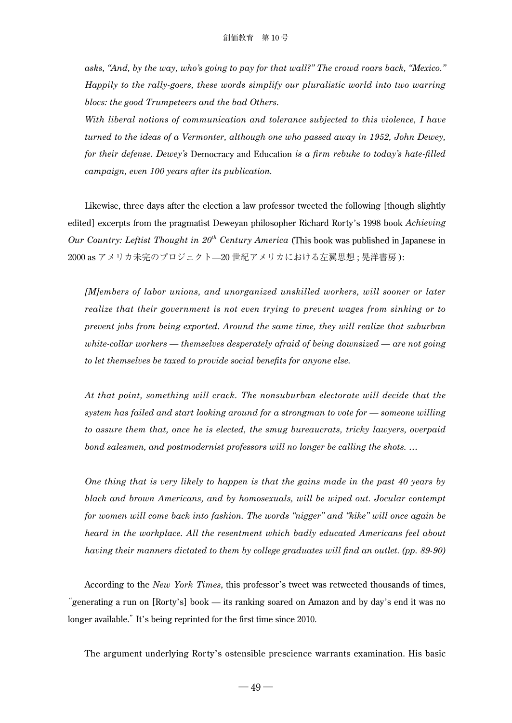*asks, "And, by the way, who's going to pay for that wall?" The crowd roars back, "Mexico." Happily to the rally-goers, these words simplify our pluralistic world into two warring blocs: the good Trumpeteers and the bad Others.*

*With liberal notions of communication and tolerance subjected to this violence, I have turned to the ideas of a Vermonter, although one who passed away in 1952, John Dewey, for their defense. Dewey's* Democracy and Education *is a firm rebuke to today's hate-filled campaign, even 100 years after its publication.*

Likewise, three days after the election a law professor tweeted the following [though slightly edited] excerpts from the pragmatist Deweyan philosopher Richard Rorty's 1998 book *Achieving Our Country: Leftist Thought in 20th Century America* (This book was published in Japanese in 2000 as アメリカ未完のプロジェクト—20 世紀アメリカにおける左翼思想 ; 晃洋書房 ):

*[M]embers of labor unions, and unorganized unskilled workers, will sooner or later realize that their government is not even trying to prevent wages from sinking or to prevent jobs from being exported. Around the same time, they will realize that suburban white-collar workers — themselves desperately afraid of being downsized — are not going to let themselves be taxed to provide social benefits for anyone else.*

*At that point, something will crack. The nonsuburban electorate will decide that the system has failed and start looking around for a strongman to vote for — someone willing to assure them that, once he is elected, the smug bureaucrats, tricky lawyers, overpaid bond salesmen, and postmodernist professors will no longer be calling the shots. …*

*One thing that is very likely to happen is that the gains made in the past 40 years by black and brown Americans, and by homosexuals, will be wiped out. Jocular contempt for women will come back into fashion. The words "nigger" and "kike" will once again be heard in the workplace. All the resentment which badly educated Americans feel about having their manners dictated to them by college graduates will find an outlet. (pp. 89-90)*

According to the *New York Times*, this professor's tweet was retweeted thousands of times, "generating a run on [Rorty's] book — its ranking soared on Amazon and by day's end it was no longer available." It's being reprinted for the first time since 2010.

The argument underlying Rorty's ostensible prescience warrants examination. His basic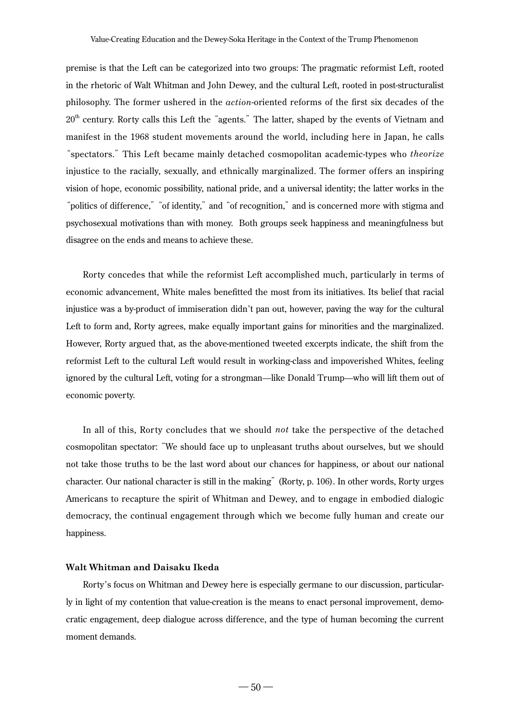premise is that the Left can be categorized into two groups: The pragmatic reformist Left, rooted in the rhetoric of Walt Whitman and John Dewey, and the cultural Left, rooted in post-structuralist philosophy. The former ushered in the *action*-oriented reforms of the first six decades of the  $20<sup>th</sup>$  century. Rorty calls this Left the "agents." The latter, shaped by the events of Vietnam and manifest in the 1968 student movements around the world, including here in Japan, he calls "spectators." This Left became mainly detached cosmopolitan academic-types who *theorize* injustice to the racially, sexually, and ethnically marginalized. The former offers an inspiring vision of hope, economic possibility, national pride, and a universal identity; the latter works in the "politics of difference,""of identity," and "of recognition," and is concerned more with stigma and psychosexual motivations than with money. Both groups seek happiness and meaningfulness but disagree on the ends and means to achieve these.

Rorty concedes that while the reformist Left accomplished much, particularly in terms of economic advancement, White males benefitted the most from its initiatives. Its belief that racial injustice was a by-product of immiseration didn't pan out, however, paving the way for the cultural Left to form and, Rorty agrees, make equally important gains for minorities and the marginalized. However, Rorty argued that, as the above-mentioned tweeted excerpts indicate, the shift from the reformist Left to the cultural Left would result in working-class and impoverished Whites, feeling ignored by the cultural Left, voting for a strongman—like Donald Trump—who will lift them out of economic poverty.

In all of this, Rorty concludes that we should *not* take the perspective of the detached cosmopolitan spectator: "We should face up to unpleasant truths about ourselves, but we should not take those truths to be the last word about our chances for happiness, or about our national character. Our national character is still in the making" (Rorty, p. 106). In other words, Rorty urges Americans to recapture the spirit of Whitman and Dewey, and to engage in embodied dialogic democracy, the continual engagement through which we become fully human and create our happiness.

#### **Walt Whitman and Daisaku Ikeda**

Rorty's focus on Whitman and Dewey here is especially germane to our discussion, particularly in light of my contention that value-creation is the means to enact personal improvement, democratic engagement, deep dialogue across difference, and the type of human becoming the current moment demands.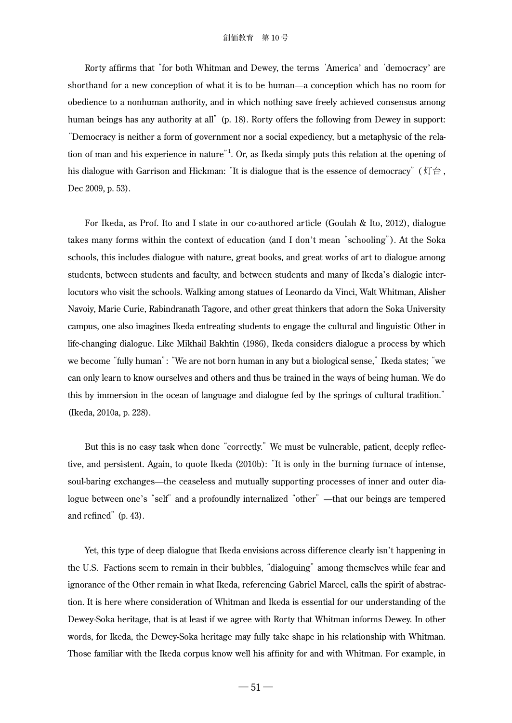Rorty affirms that "for both Whitman and Dewey, the terms 'America' and 'democracy' are shorthand for a new conception of what it is to be human—a conception which has no room for obedience to a nonhuman authority, and in which nothing save freely achieved consensus among human beings has any authority at all" (p. 18). Rorty offers the following from Dewey in support: "Democracy is neither a form of government nor a social expediency, but a metaphysic of the relation of man and his experience in nature"<sup>1</sup> . Or, as Ikeda simply puts this relation at the opening of his dialogue with Garrison and Hickman: "It is dialogue that is the essence of democracy" (灯台, Dec 2009, p. 53).

For Ikeda, as Prof. Ito and I state in our co-authored article (Goulah & Ito, 2012), dialogue takes many forms within the context of education (and I don't mean "schooling"). At the Soka schools, this includes dialogue with nature, great books, and great works of art to dialogue among students, between students and faculty, and between students and many of Ikeda's dialogic interlocutors who visit the schools. Walking among statues of Leonardo da Vinci, Walt Whitman, Alisher Navoiy, Marie Curie, Rabindranath Tagore, and other great thinkers that adorn the Soka University campus, one also imagines Ikeda entreating students to engage the cultural and linguistic Other in life-changing dialogue. Like Mikhail Bakhtin (1986), Ikeda considers dialogue a process by which we become "fully human": "We are not born human in any but a biological sense," Ikeda states; "we can only learn to know ourselves and others and thus be trained in the ways of being human. We do this by immersion in the ocean of language and dialogue fed by the springs of cultural tradition." (Ikeda, 2010a, p. 228).

But this is no easy task when done "correctly." We must be vulnerable, patient, deeply reflective, and persistent. Again, to quote Ikeda (2010b): "It is only in the burning furnace of intense, soul-baring exchanges—the ceaseless and mutually supporting processes of inner and outer dialogue between one's "self" and a profoundly internalized "other"—that our beings are tempered and refined" (p. 43).

Yet, this type of deep dialogue that Ikeda envisions across difference clearly isn't happening in the U.S. Factions seem to remain in their bubbles, "dialoguing" among themselves while fear and ignorance of the Other remain in what Ikeda, referencing Gabriel Marcel, calls the spirit of abstraction. It is here where consideration of Whitman and Ikeda is essential for our understanding of the Dewey-Soka heritage, that is at least if we agree with Rorty that Whitman informs Dewey. In other words, for Ikeda, the Dewey-Soka heritage may fully take shape in his relationship with Whitman. Those familiar with the Ikeda corpus know well his affinity for and with Whitman. For example, in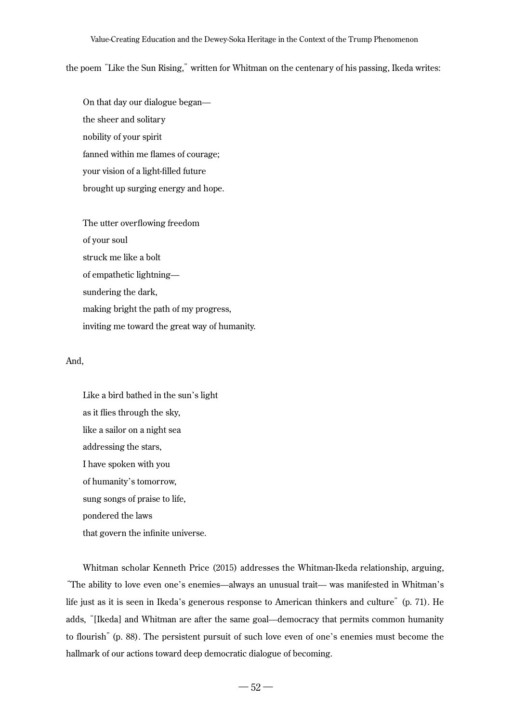#### Value-Creating Education and the Dewey-Soka Heritage in the Context of the Trump Phenomenon

the poem "Like the Sun Rising," written for Whitman on the centenary of his passing, Ikeda writes:

On that day our dialogue began the sheer and solitary nobility of your spirit fanned within me flames of courage; your vision of a light-filled future brought up surging energy and hope.

The utter overflowing freedom of your soul struck me like a bolt of empathetic lightning sundering the dark, making bright the path of my progress, inviting me toward the great way of humanity.

#### And,

Like a bird bathed in the sun's light as it flies through the sky, like a sailor on a night sea addressing the stars, I have spoken with you of humanity's tomorrow, sung songs of praise to life, pondered the laws that govern the infinite universe.

Whitman scholar Kenneth Price (2015) addresses the Whitman-Ikeda relationship, arguing, "The ability to love even one's enemies—always an unusual trait— was manifested in Whitman's life just as it is seen in Ikeda's generous response to American thinkers and culture" (p. 71). He adds, "[Ikeda] and Whitman are after the same goal—democracy that permits common humanity to flourish" (p. 88). The persistent pursuit of such love even of one's enemies must become the hallmark of our actions toward deep democratic dialogue of becoming.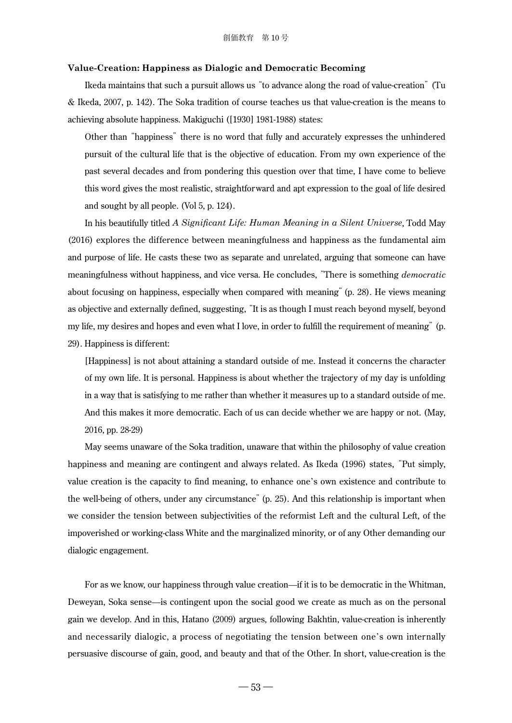#### **Value-Creation: Happiness as Dialogic and Democratic Becoming**

Ikeda maintains that such a pursuit allows us "to advance along the road of value-creation" (Tu & Ikeda, 2007, p. 142). The Soka tradition of course teaches us that value-creation is the means to achieving absolute happiness. Makiguchi ([1930] 1981-1988) states:

Other than "happiness" there is no word that fully and accurately expresses the unhindered pursuit of the cultural life that is the objective of education. From my own experience of the past several decades and from pondering this question over that time, I have come to believe this word gives the most realistic, straightforward and apt expression to the goal of life desired and sought by all people. (Vol 5, p. 124).

In his beautifully titled *A Significant Life: Human Meaning in a Silent Universe*, Todd May (2016) explores the difference between meaningfulness and happiness as the fundamental aim and purpose of life. He casts these two as separate and unrelated, arguing that someone can have meaningfulness without happiness, and vice versa. He concludes, "There is something *democratic* about focusing on happiness, especially when compared with meaning"(p. 28). He views meaning as objective and externally defined, suggesting, "It is as though I must reach beyond myself, beyond my life, my desires and hopes and even what I love, in order to fulfill the requirement of meaning" (p. 29). Happiness is different:

[Happiness] is not about attaining a standard outside of me. Instead it concerns the character of my own life. It is personal. Happiness is about whether the trajectory of my day is unfolding in a way that is satisfying to me rather than whether it measures up to a standard outside of me. And this makes it more democratic. Each of us can decide whether we are happy or not. (May, 2016, pp. 28-29)

May seems unaware of the Soka tradition, unaware that within the philosophy of value creation happiness and meaning are contingent and always related. As Ikeda (1996) states, "Put simply, value creation is the capacity to find meaning, to enhance one's own existence and contribute to the well-being of others, under any circumstance" (p. 25). And this relationship is important when we consider the tension between subjectivities of the reformist Left and the cultural Left, of the impoverished or working-class White and the marginalized minority, or of any Other demanding our dialogic engagement.

For as we know, our happiness through value creation—if it is to be democratic in the Whitman, Deweyan, Soka sense—is contingent upon the social good we create as much as on the personal gain we develop. And in this, Hatano (2009) argues, following Bakhtin, value-creation is inherently and necessarily dialogic, a process of negotiating the tension between one's own internally persuasive discourse of gain, good, and beauty and that of the Other. In short, value-creation is the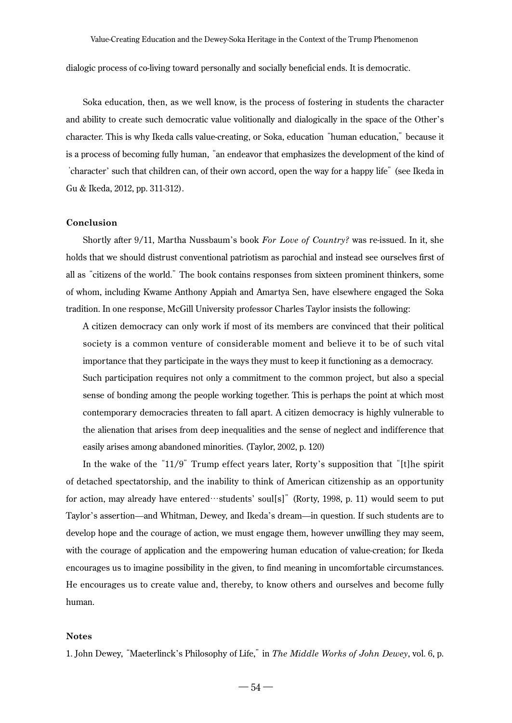dialogic process of co-living toward personally and socially beneficial ends. It is democratic.

Soka education, then, as we well know, is the process of fostering in students the character and ability to create such democratic value volitionally and dialogically in the space of the Other's character. This is why Ikeda calls value-creating, or Soka, education "human education," because it is a process of becoming fully human, "an endeavor that emphasizes the development of the kind of 'character' such that children can, of their own accord, open the way for a happy life" (see Ikeda in Gu & Ikeda, 2012, pp. 311-312).

## **Conclusion**

Shortly after 9/11, Martha Nussbaum's book *For Love of Country?* was re-issued. In it, she holds that we should distrust conventional patriotism as parochial and instead see ourselves first of all as "citizens of the world." The book contains responses from sixteen prominent thinkers, some of whom, including Kwame Anthony Appiah and Amartya Sen, have elsewhere engaged the Soka tradition. In one response, McGill University professor Charles Taylor insists the following:

A citizen democracy can only work if most of its members are convinced that their political society is a common venture of considerable moment and believe it to be of such vital importance that they participate in the ways they must to keep it functioning as a democracy. Such participation requires not only a commitment to the common project, but also a special sense of bonding among the people working together. This is perhaps the point at which most contemporary democracies threaten to fall apart. A citizen democracy is highly vulnerable to the alienation that arises from deep inequalities and the sense of neglect and indifference that easily arises among abandoned minorities. (Taylor, 2002, p. 120)

In the wake of the "11/9" Trump effect years later, Rorty's supposition that "[t]he spirit of detached spectatorship, and the inability to think of American citizenship as an opportunity for action, may already have entered…students' soul[s]" (Rorty, 1998, p. 11) would seem to put Taylor's assertion—and Whitman, Dewey, and Ikeda's dream—in question. If such students are to develop hope and the courage of action, we must engage them, however unwilling they may seem, with the courage of application and the empowering human education of value-creation; for Ikeda encourages us to imagine possibility in the given, to find meaning in uncomfortable circumstances. He encourages us to create value and, thereby, to know others and ourselves and become fully human.

#### **Notes**

1. John Dewey, "Maeterlinck's Philosophy of Life," in *The Middle Works of John Dewey*, vol. 6, p.